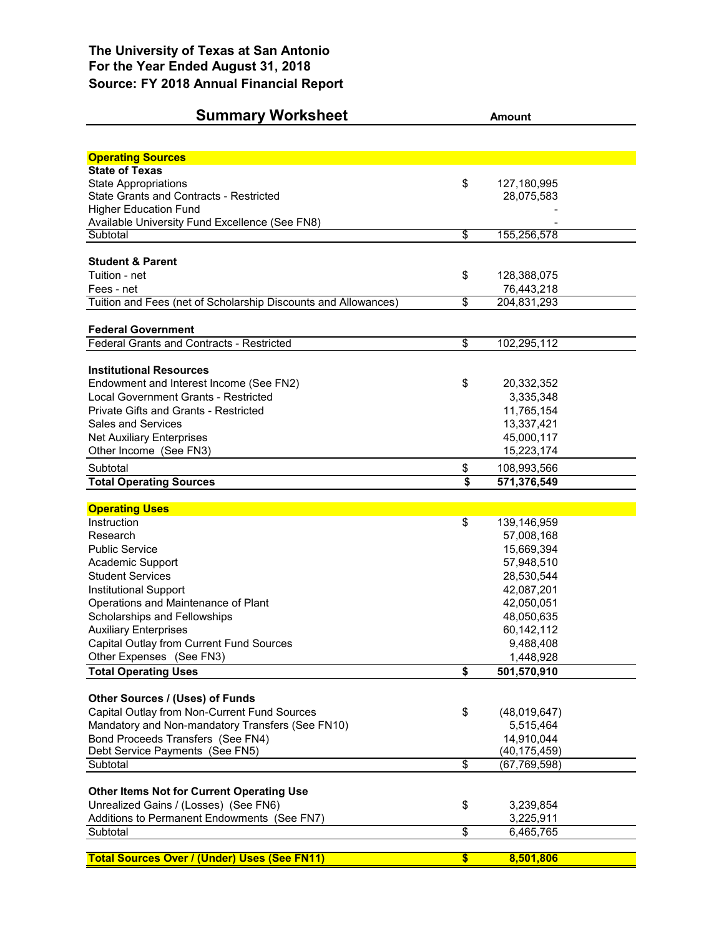## **Summary Worksheet Amount**

| <b>Operating Sources</b>                                             |                         |                           |  |
|----------------------------------------------------------------------|-------------------------|---------------------------|--|
| <b>State of Texas</b>                                                |                         |                           |  |
| <b>State Appropriations</b>                                          | \$                      | 127,180,995               |  |
| State Grants and Contracts - Restricted                              |                         | 28,075,583                |  |
| <b>Higher Education Fund</b>                                         |                         |                           |  |
| Available University Fund Excellence (See FN8)                       |                         |                           |  |
| Subtotal                                                             | \$                      | 155,256,578               |  |
| <b>Student &amp; Parent</b>                                          |                         |                           |  |
| Tuition - net                                                        |                         |                           |  |
| Fees - net                                                           | \$                      | 128,388,075<br>76,443,218 |  |
| Tuition and Fees (net of Scholarship Discounts and Allowances)       | \$                      | 204,831,293               |  |
|                                                                      |                         |                           |  |
| <b>Federal Government</b>                                            |                         |                           |  |
| Federal Grants and Contracts - Restricted                            | $\overline{\mathbf{e}}$ | 102,295,112               |  |
|                                                                      |                         |                           |  |
| <b>Institutional Resources</b>                                       |                         |                           |  |
| Endowment and Interest Income (See FN2)                              | \$                      | 20,332,352                |  |
| Local Government Grants - Restricted                                 |                         | 3,335,348                 |  |
| Private Gifts and Grants - Restricted                                |                         | 11,765,154                |  |
| <b>Sales and Services</b>                                            |                         | 13,337,421                |  |
| <b>Net Auxiliary Enterprises</b>                                     |                         | 45,000,117                |  |
| Other Income (See FN3)                                               |                         | 15,223,174                |  |
| Subtotal                                                             | \$                      | 108,993,566               |  |
| <b>Total Operating Sources</b>                                       | \$                      | 571,376,549               |  |
|                                                                      |                         |                           |  |
| <b>Operating Uses</b>                                                |                         |                           |  |
| Instruction                                                          | \$                      | 139,146,959               |  |
| Research                                                             |                         | 57,008,168                |  |
| <b>Public Service</b>                                                |                         | 15,669,394                |  |
| Academic Support                                                     |                         | 57,948,510                |  |
| <b>Student Services</b>                                              |                         | 28,530,544                |  |
| Institutional Support                                                |                         | 42,087,201                |  |
| Operations and Maintenance of Plant                                  |                         | 42,050,051                |  |
| Scholarships and Fellowships                                         |                         | 48,050,635                |  |
| <b>Auxiliary Enterprises</b>                                         |                         | 60,142,112                |  |
| Capital Outlay from Current Fund Sources<br>Other Expenses (See FN3) |                         | 9,488,408<br>1,448,928    |  |
| <b>Total Operating Uses</b>                                          | \$                      | 501,570,910               |  |
|                                                                      |                         |                           |  |
| Other Sources / (Uses) of Funds                                      |                         |                           |  |
| Capital Outlay from Non-Current Fund Sources                         | \$                      | (48,019,647)              |  |
| Mandatory and Non-mandatory Transfers (See FN10)                     |                         | 5,515,464                 |  |
| Bond Proceeds Transfers (See FN4)                                    |                         |                           |  |
|                                                                      |                         | 14,910,044                |  |
| Debt Service Payments (See FN5)                                      |                         | (40, 175, 459)            |  |
| Subtotal                                                             | \$                      | (67, 769, 598)            |  |
|                                                                      |                         |                           |  |
| Other Items Not for Current Operating Use                            |                         |                           |  |
| Unrealized Gains / (Losses) (See FN6)                                | \$                      | 3,239,854                 |  |
| Additions to Permanent Endowments (See FN7)                          |                         | 3,225,911                 |  |
| Subtotal                                                             | $\overline{\mathbf{e}}$ | 6,465,765                 |  |
| <b>Total Sources Over / (Under) Uses (See FN11)</b>                  | $\overline{\mathbf{s}}$ | 8,501,806                 |  |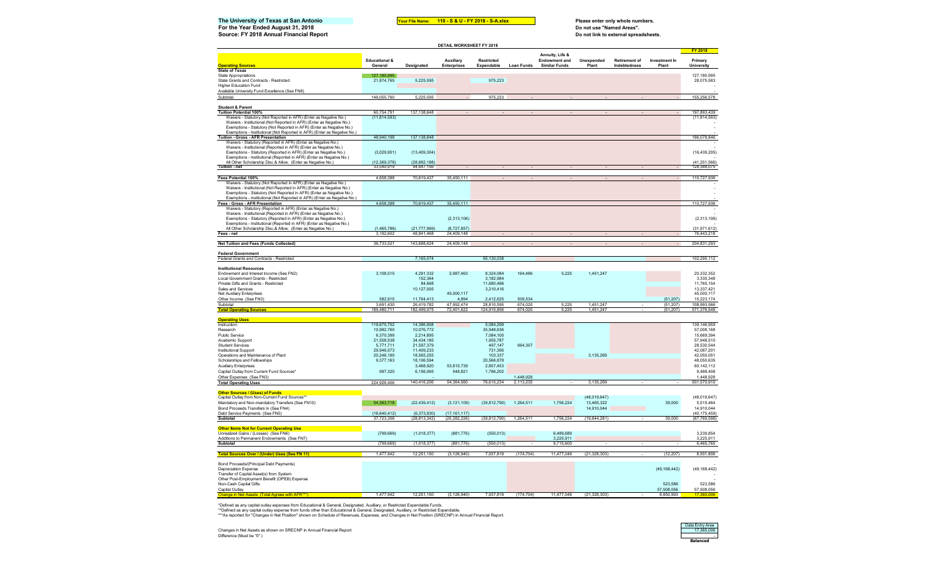| The University of Texas at San Antonio<br>For the Year Ended August 31, 2018                                                               |                                    | Your File Name:              | 110 - S & U - FY 2018 - S-A.xlsx |                                 |                        |                                              |                                                                    | Please enter only whole numbers.     |                        |                               |  |  |
|--------------------------------------------------------------------------------------------------------------------------------------------|------------------------------------|------------------------------|----------------------------------|---------------------------------|------------------------|----------------------------------------------|--------------------------------------------------------------------|--------------------------------------|------------------------|-------------------------------|--|--|
| Source: FY 2018 Annual Financial Report                                                                                                    |                                    |                              |                                  |                                 |                        |                                              | Do not use "Named Areas".<br>Do not link to external spreadsheets. |                                      |                        |                               |  |  |
|                                                                                                                                            |                                    |                              | DETAIL WORKSHEET FY 2018         |                                 |                        |                                              |                                                                    |                                      |                        |                               |  |  |
|                                                                                                                                            |                                    |                              |                                  |                                 |                        | Annuity, Life &                              |                                                                    |                                      |                        | <b>FY 2018</b>                |  |  |
| <b>Operating Sources</b>                                                                                                                   | <b>Educational &amp;</b><br>Genera | Designated                   | Auxiliary<br>Enterprises         | <b>Restricted</b><br>Expendable | <b>Loan Funds</b>      | <b>Endowment and</b><br><b>Similar Funds</b> | Unexpended<br>Plant                                                | <b>Retirement of</b><br>Indebtednes: | Investment In<br>Plant | Primary<br><b>University</b>  |  |  |
| <b>State of Texas</b>                                                                                                                      |                                    |                              |                                  |                                 |                        |                                              |                                                                    |                                      |                        |                               |  |  |
| <b>State Appropriations</b>                                                                                                                | 127.180.995                        |                              |                                  |                                 |                        |                                              |                                                                    |                                      |                        | 127,180,995                   |  |  |
| State Grants and Contracts - Restricted<br><b>Higher Education Fund</b>                                                                    | 21,874,765                         | 5,225,595                    |                                  | 975,223                         |                        |                                              |                                                                    |                                      |                        | 28.075.583                    |  |  |
| Available University Fund Excellence (See FN8)                                                                                             |                                    |                              |                                  |                                 |                        |                                              |                                                                    |                                      |                        |                               |  |  |
| Subtotal                                                                                                                                   | 149,055,760                        | 5.225.595                    |                                  | 975.223                         |                        |                                              |                                                                    |                                      |                        | 155,256,578                   |  |  |
| <b>Student &amp; Parent</b>                                                                                                                |                                    |                              |                                  |                                 |                        |                                              |                                                                    |                                      |                        |                               |  |  |
| <b>Tuition Potential 100%</b>                                                                                                              | 60,754,791                         | 137,138,648                  |                                  |                                 |                        |                                              |                                                                    |                                      |                        | 197,893,439                   |  |  |
| Waivers - Statutory (Not Reported in AFR) (Enter as Negative No.)<br>Waivers - Institutional (Not Reported in AFR) (Enter as Negative No.) | (11, 814, 593)                     |                              |                                  |                                 |                        |                                              |                                                                    |                                      |                        | (11, 814, 593)                |  |  |
| Exemptions - Statutory (Not Reported in AFR) (Enter as Negative No.)                                                                       |                                    |                              |                                  |                                 |                        |                                              |                                                                    |                                      |                        |                               |  |  |
| Exemptions - Institutional (Not Reported in AFR) (Enter as Negative No.                                                                    |                                    |                              |                                  |                                 |                        |                                              |                                                                    |                                      |                        |                               |  |  |
| Tuition - Gross - AFR Presentation                                                                                                         | 48,940,198                         | 137,138,648                  |                                  |                                 |                        |                                              |                                                                    |                                      |                        | 186,078,846                   |  |  |
| Waivers - Statutory (Reported in AFR) (Enter as Negative No.)<br>Waivers - Institutional (Reported in AFR) (Enter as Negative No.)         |                                    |                              |                                  |                                 |                        |                                              |                                                                    |                                      |                        |                               |  |  |
| Exemptions - Statutory (Reported in AFR) (Enter as Negative No.)                                                                           | (3,029,901)                        | (13, 409, 304)               |                                  |                                 |                        |                                              |                                                                    |                                      |                        | (16, 439, 205)                |  |  |
| Exemptions - Institutional (Reported in AFR) (Enter as Negative No.)                                                                       |                                    |                              |                                  |                                 |                        |                                              |                                                                    |                                      |                        |                               |  |  |
| All Other Scholarship Disc.& Allow. (Enter as Negative No.)<br>Tuition - net                                                               | (12.369.378)<br>33,540,919         | (28.882.188)<br>94,847,156   |                                  |                                 |                        |                                              |                                                                    |                                      |                        | (41, 251, 566)<br>128,388,075 |  |  |
|                                                                                                                                            |                                    |                              |                                  |                                 |                        |                                              |                                                                    |                                      |                        |                               |  |  |
| Fees Potential 100%<br>Waivers - Statutory (Not Reported in AFR) (Enter as Negative No.)                                                   | 4,658,388                          | 70,619,437                   | 35,450,111                       |                                 |                        |                                              |                                                                    |                                      |                        | 110,727,936                   |  |  |
| Waivers - Institutional (Not Reported in AFR) (Enter as Negative No.)                                                                      |                                    |                              |                                  |                                 |                        |                                              |                                                                    |                                      |                        |                               |  |  |
| Exemptions - Statutory (Not Reported in AFR) (Enter as Negative No.)                                                                       |                                    |                              |                                  |                                 |                        |                                              |                                                                    |                                      |                        |                               |  |  |
| Exemptions - Institutional (Not Reported in AFR) (Enter as Negative No.)                                                                   |                                    |                              |                                  |                                 |                        |                                              |                                                                    |                                      |                        |                               |  |  |
| <b>Fees - Gross - AFR Presentation</b><br>Waivers - Statutory (Reported in AFR) (Enter as Negative No.)                                    | 4,658,388                          | 70,619,437                   | 35,450,111                       |                                 |                        |                                              |                                                                    |                                      |                        | 110.727.936                   |  |  |
| Waivers - Institutional (Reported in AFR) (Enter as Negative No.)                                                                          |                                    |                              |                                  |                                 |                        |                                              |                                                                    |                                      |                        |                               |  |  |
| Exemptions - Statutory (Reported in AFR) (Enter as Negative No.)                                                                           |                                    |                              | (2,313,106)                      |                                 |                        |                                              |                                                                    |                                      |                        | (2,313,106)                   |  |  |
| Exemptions - Institutional (Reported in AFR) (Enter as Negative No.)                                                                       |                                    |                              |                                  |                                 |                        |                                              |                                                                    |                                      |                        |                               |  |  |
| All Other Scholarship Disc.& Allow. (Enter as Negative No.<br>Fees - net                                                                   | (1,465,786)<br>3.192.60            | (21, 777, 969)<br>48.841.468 | (8,727,857)<br>24.409.148        |                                 |                        |                                              |                                                                    |                                      |                        | (31, 971, 612)<br>76,443.218  |  |  |
|                                                                                                                                            |                                    |                              |                                  |                                 |                        |                                              |                                                                    |                                      |                        |                               |  |  |
| <b>Net Tuition and Fees (Funds Collected)</b>                                                                                              | 36,733,521                         | 143,688,624                  | 24 409 148                       |                                 |                        |                                              |                                                                    |                                      |                        | 204 831 293                   |  |  |
| <b>Federal Government</b>                                                                                                                  |                                    |                              |                                  |                                 |                        |                                              |                                                                    |                                      |                        |                               |  |  |
| Federal Grants and Contracts - Restricted                                                                                                  |                                    | 7,165,074                    |                                  | 95,130,038                      |                        |                                              |                                                                    |                                      |                        | 102,295,112                   |  |  |
|                                                                                                                                            |                                    |                              |                                  |                                 |                        |                                              |                                                                    |                                      |                        |                               |  |  |
| <b>Institutional Resources</b><br>Endowment and Interest Income (See FN2)                                                                  | 3,108,515                          | 4,291,332                    | 2,987,463                        | 8,324,084                       | 164,486                | 5,225                                        | 1,451,247                                                          |                                      |                        | 20,332,352                    |  |  |
| Local Government Grants - Restricted                                                                                                       |                                    | 152,364                      |                                  | 3,182,984                       |                        |                                              |                                                                    |                                      |                        | 3,335,348                     |  |  |
| Private Gifts and Grants - Restricted                                                                                                      |                                    | 84.668                       |                                  | 11.680.486                      |                        |                                              |                                                                    |                                      |                        | 11,765,154                    |  |  |
| Sales and Services                                                                                                                         |                                    | 10,127,005                   |                                  | 3,210,416                       |                        |                                              |                                                                    |                                      |                        | 13.337.421                    |  |  |
| Net Auxiliary Enterprises<br>Other Income (See FN3)                                                                                        | 582.915                            | 11,764,413                   | 45,000,117<br>4,894              | 2,412,625                       | 509,534                |                                              |                                                                    |                                      | (51, 207)              | 45,000,117<br>15,223,174      |  |  |
| Subtotal                                                                                                                                   | 3691430                            | 26 419 782                   | 47 992 474                       | 28 810 595                      | 674.020                | 5.225                                        | 1.451.247                                                          |                                      | (51.207)               | 108 993 566                   |  |  |
| <b>Total Operating Sources</b>                                                                                                             | 189,480,711                        | 182.499.075                  | 72,401,622                       | 124,915,856                     | 674,020                | 5 225                                        | 1.451.247                                                          |                                      | (51, 207)              | 571,376,549                   |  |  |
|                                                                                                                                            |                                    |                              |                                  |                                 |                        |                                              |                                                                    |                                      |                        |                               |  |  |
| <b>Operating Uses</b><br>Instruction                                                                                                       | 119,675,752                        | 14,386,908                   |                                  | 5,084,299                       |                        |                                              |                                                                    |                                      |                        | 139.146.959                   |  |  |
| Research                                                                                                                                   | 10.982.760                         | 10,076,772                   |                                  | 35,948,636                      |                        |                                              |                                                                    |                                      |                        | 57.008.168                    |  |  |
| Public Service                                                                                                                             | 6,370,399                          | 2,214,895                    |                                  | 7,084,100                       |                        |                                              |                                                                    |                                      |                        | 15,669,394                    |  |  |
| Academic Support                                                                                                                           | 21,558,538                         | 34,434,185                   |                                  | 1,955,787                       |                        |                                              |                                                                    |                                      |                        | 57,948,510                    |  |  |
| <b>Student Services</b><br><b>Institutional Support</b>                                                                                    | 5,771,711<br>29.946.573            | 21,597,379<br>11,409,233     |                                  | 497,147<br>731.395              | 664,307                |                                              |                                                                    |                                      |                        | 28,530,544<br>42,087,201      |  |  |
| Operations and Maintenance of Plant                                                                                                        | 20.246.190                         | 18.565.255                   |                                  | 103.337                         |                        |                                              | 3.135.269                                                          |                                      |                        | 42.050.051                    |  |  |
| Scholarships and Fellowships                                                                                                               | 9,377,163                          | 18.106.594                   |                                  | 20.566.878                      |                        |                                              |                                                                    |                                      |                        | 48.050.635                    |  |  |
| <b>Auxiliary Enterprises</b>                                                                                                               |                                    | 3,468,920                    | 53,815,739                       | 2,857,453                       |                        |                                              |                                                                    |                                      |                        | 60,142,112                    |  |  |
| Capital Outlay from Current Fund Sources'                                                                                                  | 997,320                            | 6,156,065                    | 548,821                          | 1,786,202                       |                        |                                              |                                                                    |                                      |                        | 9,488,408                     |  |  |
| Other Expenses (See FN3)<br><b>Total Operating Uses</b>                                                                                    | 224,926,406                        | 140,416,206                  | 54,364,560                       | 76,615,234                      | 1,448,928<br>2.113.235 |                                              | 3,135,269                                                          |                                      |                        | 1,448,928<br>501,570,910      |  |  |
|                                                                                                                                            |                                    |                              |                                  |                                 |                        |                                              |                                                                    |                                      |                        |                               |  |  |
| <b>Other Sources / (Uses) of Funds</b>                                                                                                     |                                    |                              |                                  |                                 |                        |                                              |                                                                    |                                      |                        |                               |  |  |
| Capital Outlay from Non-Current Fund Sources*'                                                                                             |                                    |                              |                                  |                                 |                        |                                              | (48,019,647)                                                       |                                      |                        | (48,019,647)                  |  |  |
| Mandatory and Non-mandatory Transfers (See FN10)                                                                                           | 54,363,718                         | (22, 439, 412)               | (3, 121, 109)                    | (39, 812, 790)                  | 1,264,511              | 1,756,224                                    | 13,465,322                                                         |                                      | 39,000                 | 5,515,464<br>14.910.044       |  |  |
| Bond Proceeds Transfers In (See FN4)<br>Debt Service Payments (See FN5)                                                                    | (16,640,412)                       | (6,373,930)                  | (17.161.117)                     |                                 |                        |                                              | 14,910,044                                                         |                                      |                        | (40.175.459)                  |  |  |
| Subtotal                                                                                                                                   | 37,723,306                         | (28, 813, 342)               | (20, 282, 226)                   | (39, 812, 790)                  | 1,264,511              | 1,756,224                                    | (19,644,281)                                                       |                                      | 39,000                 | (67, 769, 598)                |  |  |
|                                                                                                                                            |                                    |                              |                                  |                                 |                        |                                              |                                                                    |                                      |                        |                               |  |  |
| <b>Other Items Not for Current Operating Use</b><br>Unrealized Gains / (Losses) (See FN6)                                                  | (799, 669)                         | (1,018,377)                  | (881.776)                        | (550, 013)                      |                        | 6,489,689                                    |                                                                    |                                      |                        | 3,239,854                     |  |  |
| Additions to Permanent Endowments (See FN7)                                                                                                |                                    |                              |                                  |                                 |                        | 3.225.911                                    |                                                                    |                                      |                        | 3,225,911                     |  |  |
| Subtotal                                                                                                                                   | (799.669)                          | (1,018,377)                  | (881,776)                        | (550.013)                       |                        | 9.715.600                                    |                                                                    |                                      |                        | 6465765                       |  |  |
| Total Sources Over / (Under) Uses (See FN 11)                                                                                              | 1477.942                           | 12.251.150                   | (3, 126, 940)                    | 7.937.819                       | (174.704)              | 11.477.049                                   | (21, 328, 303)                                                     |                                      | (12.207)               | 8,501,806                     |  |  |
|                                                                                                                                            |                                    |                              |                                  |                                 |                        |                                              |                                                                    |                                      |                        |                               |  |  |
| Bond Proceeds/(Principal Debt Payments)                                                                                                    |                                    |                              |                                  |                                 |                        |                                              |                                                                    |                                      |                        |                               |  |  |
| <b>Depreciation Expense</b><br>Transfer of Capital Asset(s) from System                                                                    |                                    |                              |                                  |                                 |                        |                                              |                                                                    |                                      | (49, 168, 442)         | (49, 168, 442)                |  |  |
| Other Post-Employment Benefit (OPEB) Expense                                                                                               |                                    |                              |                                  |                                 |                        |                                              |                                                                    |                                      |                        |                               |  |  |
| Non-Cash Capital Gifts                                                                                                                     |                                    |                              |                                  |                                 |                        |                                              |                                                                    |                                      | 523,586                | 523,586                       |  |  |
| Capital Outlay                                                                                                                             |                                    |                              |                                  |                                 |                        |                                              |                                                                    |                                      | 57.508.056             | 57,508,056                    |  |  |
|                                                                                                                                            | 1477942                            | 12.251.150                   | (3, 126, 940)                    | 7.937.819                       | (174, 704)             | 11.477.049                                   | (21, 328, 303)                                                     |                                      | 8.850.993              |                               |  |  |

\*Defined as any capital outlay expenses from Educational & General, Designated, Auxiliary, or Restricted Expendable Funds.<br>\*\*Defined as any capital outlay expense from funds other than Educational & General, Designated, A

Changes in Net Assets as shown on SRECNP in Annual Financial Report. 17,365,006<br>Difference (Must be "0".) - 17,365,006<br>Difference (Must be "0".) - 17,365,006

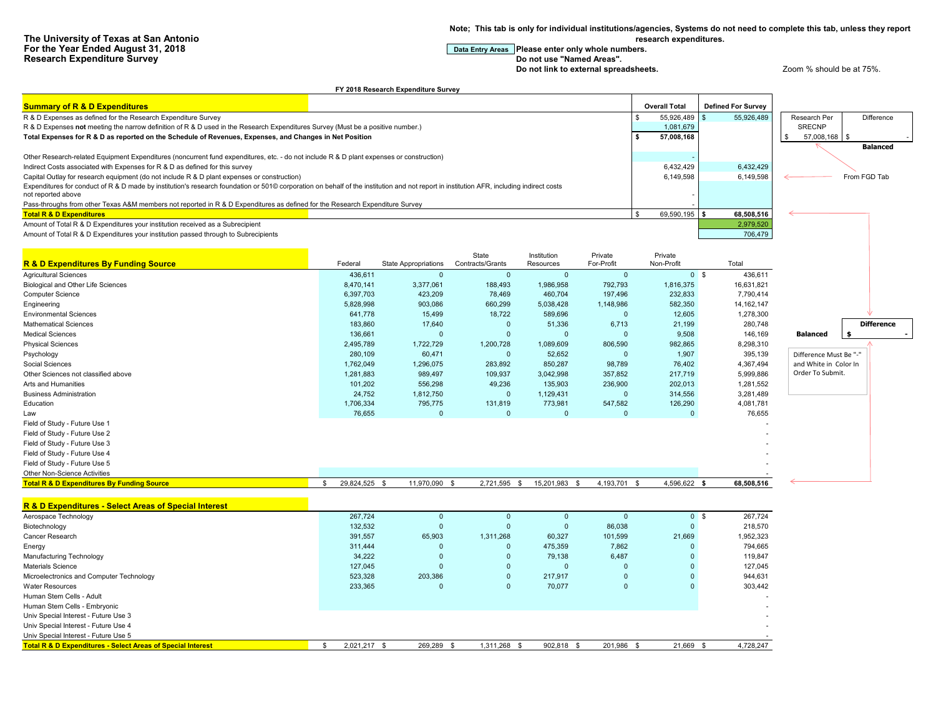**Note; This tab is only for individual institutions/agencies, Systems do not need to complete this tab, unless they report research expenditures.**

## **For the Year Entry Areas** Please enter only whole numbers.<br>Do not use "Named Areas".

**Do not link to external spreadsheets. Let up a very spread of the 200 m**  $\alpha$  and  $\alpha$  at 75%.

| <b>Summary of R &amp; D Expenditures</b>                                                                                                                                                                                                                                                |                                 |                             |                       |                    |                          | <b>Overall Total</b> |                                         |                        |                   |
|-----------------------------------------------------------------------------------------------------------------------------------------------------------------------------------------------------------------------------------------------------------------------------------------|---------------------------------|-----------------------------|-----------------------|--------------------|--------------------------|----------------------|-----------------------------------------|------------------------|-------------------|
|                                                                                                                                                                                                                                                                                         |                                 |                             |                       |                    | \$                       |                      | <b>Defined For Survey</b><br>55,926,489 |                        | Difference        |
| R & D Expenses as defined for the Research Expenditure Survey                                                                                                                                                                                                                           |                                 |                             |                       |                    |                          | 55,926,489           |                                         | Research Per           |                   |
| R & D Expenses not meeting the narrow definition of R & D used in the Research Expenditures Survey (Must be a positive number.)                                                                                                                                                         |                                 |                             |                       |                    | \$                       | 1,081,679            |                                         | <b>SRECNP</b>          |                   |
| Total Expenses for R & D as reported on the Schedule of Revenues, Expenses, and Changes in Net Position                                                                                                                                                                                 |                                 |                             |                       |                    |                          | 57,008,168           |                                         | 57,008,168 \$          |                   |
|                                                                                                                                                                                                                                                                                         |                                 |                             |                       |                    |                          |                      |                                         |                        | <b>Balanced</b>   |
| Other Research-related Equipment Expenditures (noncurrent fund expenditures, etc. - do not include R & D plant expenses or construction)                                                                                                                                                |                                 |                             |                       |                    |                          |                      |                                         |                        |                   |
| Indirect Costs associated with Expenses for R & D as defined for this survey                                                                                                                                                                                                            |                                 |                             |                       |                    |                          | 6,432,429            | 6,432,429                               |                        |                   |
| Capital Outlay for research equipment (do not include R & D plant expenses or construction)<br>Expenditures for conduct of R & D made by institution's research foundation or 501© corporation on behalf of the institution and not report in institution AFR, including indirect costs |                                 |                             |                       |                    |                          | 6,149,598            | 6,149,598                               |                        | From FGD Tab      |
| not reported above                                                                                                                                                                                                                                                                      |                                 |                             |                       |                    |                          |                      |                                         |                        |                   |
| Pass-throughs from other Texas A&M members not reported in R & D Expenditures as defined for the Research Expenditure Survey                                                                                                                                                            |                                 |                             |                       |                    |                          |                      |                                         |                        |                   |
| <b>Total R &amp; D Expenditures</b>                                                                                                                                                                                                                                                     |                                 |                             |                       |                    |                          | 69,590,195           | 68,508,516<br>l S                       |                        |                   |
| Amount of Total R & D Expenditures your institution received as a Subrecipient                                                                                                                                                                                                          |                                 |                             |                       |                    |                          |                      | 2,979,520                               |                        |                   |
| Amount of Total R & D Expenditures your institution passed through to Subrecipients                                                                                                                                                                                                     |                                 |                             |                       |                    |                          |                      | 706,479                                 |                        |                   |
|                                                                                                                                                                                                                                                                                         |                                 |                             |                       |                    |                          |                      |                                         |                        |                   |
|                                                                                                                                                                                                                                                                                         |                                 |                             | State                 | Institution        | Private                  | Private              |                                         |                        |                   |
| <b>R &amp; D Expenditures By Funding Source</b>                                                                                                                                                                                                                                         | Federal                         | <b>State Appropriations</b> | Contracts/Grants      | Resources          | For-Profit               | Non-Profit           | Total                                   |                        |                   |
| <b>Agricultural Sciences</b>                                                                                                                                                                                                                                                            | 436,611                         | $\Omega$                    | $\overline{0}$        | $\overline{0}$     | $\overline{0}$           |                      | 0 <sup>5</sup><br>436,611               |                        |                   |
|                                                                                                                                                                                                                                                                                         | 8,470,141                       | 3,377,061                   | 188,493               | 1,986,958          | 792,793                  |                      |                                         |                        |                   |
| Biological and Other Life Sciences<br>Computer Science                                                                                                                                                                                                                                  | 6,397,703                       | 423,209                     | 78,469                | 460,704            | 197,496                  | 1,816,375<br>232,833 | 16,631,821<br>7,790,414                 |                        |                   |
|                                                                                                                                                                                                                                                                                         | 5,828,998                       | 903,086                     | 660,299               | 5,038,428          | 1,148,986                | 582,350              | 14, 162, 147                            |                        |                   |
| Engineering                                                                                                                                                                                                                                                                             | 641,778                         |                             |                       | 589,696            | $\overline{0}$           |                      |                                         |                        |                   |
| <b>Environmental Sciences</b><br><b>Mathematical Sciences</b>                                                                                                                                                                                                                           |                                 | 15,499                      | 18,722                |                    |                          | 12,605               | 1,278,300                               |                        | <b>Difference</b> |
|                                                                                                                                                                                                                                                                                         | 183,860                         | 17,640                      | $\overline{0}$        | 51,336             | 6,713                    | 21,199               | 280,748                                 |                        |                   |
| <b>Medical Sciences</b>                                                                                                                                                                                                                                                                 | 136,661                         | $\mathbf{0}$                | $\overline{0}$        | $\overline{0}$     | $\overline{0}$           | 9,508                | 146,169                                 | <b>Balanced</b>        | \$                |
| <b>Physical Sciences</b>                                                                                                                                                                                                                                                                | 2,495,789                       | 1,722,729                   | 1,200,728             | 1,089,609          | 806,590                  | 982,865              | 8,298,310                               |                        |                   |
| Psychology                                                                                                                                                                                                                                                                              | 280,109                         | 60,471                      | $\overline{0}$        | 52,652             | $\Omega$                 | 1,907                | 395,139                                 | Difference Must Be "-" |                   |
| Social Sciences                                                                                                                                                                                                                                                                         | 1,762,049                       | 1,296,075                   | 283,892               | 850,287            | 98,789                   | 76,402               | 4,367,494                               | and White in Color In  |                   |
| Other Sciences not classified above                                                                                                                                                                                                                                                     | 1,281,883                       | 989,497                     | 109,937               | 3,042,998          | 357,852                  | 217,719              | 5,999,886                               | Order To Submit.       |                   |
| Arts and Humanities                                                                                                                                                                                                                                                                     | 101,202                         | 556,298                     | 49,236                | 135,903            | 236,900                  | 202,013              | 1,281,552                               |                        |                   |
| <b>Business Administration</b>                                                                                                                                                                                                                                                          | 24,752                          | 1,812,750                   | $\overline{0}$        | 1,129,431          | $\Omega$                 | 314,556              | 3,281,489                               |                        |                   |
| Education                                                                                                                                                                                                                                                                               | 1,706,334                       | 795,775                     | 131,819               | 773,981            | 547,582                  | 126,290              | 4,081,781                               |                        |                   |
| Law                                                                                                                                                                                                                                                                                     | 76,655                          | $\Omega$                    | $\overline{0}$        | $\Omega$           | $\Omega$                 | $\Omega$             | 76,655                                  |                        |                   |
| Field of Study - Future Use 1                                                                                                                                                                                                                                                           |                                 |                             |                       |                    |                          |                      |                                         |                        |                   |
| Field of Study - Future Use 2                                                                                                                                                                                                                                                           |                                 |                             |                       |                    |                          |                      |                                         |                        |                   |
| Field of Study - Future Use 3                                                                                                                                                                                                                                                           |                                 |                             |                       |                    |                          |                      |                                         |                        |                   |
| Field of Study - Future Use 4                                                                                                                                                                                                                                                           |                                 |                             |                       |                    |                          |                      |                                         |                        |                   |
| Field of Study - Future Use 5                                                                                                                                                                                                                                                           |                                 |                             |                       |                    |                          |                      |                                         |                        |                   |
| Other Non-Science Activities                                                                                                                                                                                                                                                            |                                 |                             |                       |                    |                          |                      |                                         |                        |                   |
| <b>Total R &amp; D Expenditures By Funding Source</b>                                                                                                                                                                                                                                   | 29,824,525 \$<br>$\mathfrak{L}$ | 11,970,090 \$               | 2,721,595             | -S<br>15,201,983   | <b>S</b><br>4,193,701 \$ | 4,596,622 \$         | 68,508,516                              |                        |                   |
|                                                                                                                                                                                                                                                                                         |                                 |                             |                       |                    |                          |                      |                                         |                        |                   |
| R & D Expenditures - Select Areas of Special Interest                                                                                                                                                                                                                                   |                                 |                             |                       |                    |                          |                      |                                         |                        |                   |
| Aerospace Technology                                                                                                                                                                                                                                                                    | 267,724                         | $\Omega$                    | $\Omega$              | $\Omega$           | $\Omega$                 |                      | 0 <sup>5</sup><br>267,724               |                        |                   |
| Biotechnology                                                                                                                                                                                                                                                                           | 132,532                         | $\mathbf 0$                 | $\overline{0}$        | $\mathbf{0}$       | 86,038                   | $\mathbf{0}$         | 218,570                                 |                        |                   |
| Cancer Research                                                                                                                                                                                                                                                                         | 391,557                         | 65,903                      | 1,311,268             | 60,327             | 101,599                  | 21,669               | 1,952,323                               |                        |                   |
| Energy                                                                                                                                                                                                                                                                                  | 311,444                         | $\Omega$                    | $\overline{0}$        | 475,359            | 7,862                    | $\Omega$             | 794,665                                 |                        |                   |
| Manufacturing Technology                                                                                                                                                                                                                                                                | 34,222                          | $\mathbf{0}$                | $\overline{0}$        | 79,138             | 6,487                    | $\mathbf{0}$         | 119,847                                 |                        |                   |
| Materials Science                                                                                                                                                                                                                                                                       | 127,045                         | $\overline{0}$              | $\overline{0}$        | $\Omega$           | $\Omega$                 | $\mathbf{0}$         | 127,045                                 |                        |                   |
| Microelectronics and Computer Technology                                                                                                                                                                                                                                                | 523,328                         | 203,386                     | $\overline{0}$        | 217,917            | $\overline{0}$           | $\mathbf{0}$         | 944,631                                 |                        |                   |
| <b>Water Resources</b>                                                                                                                                                                                                                                                                  | 233,365                         | $\Omega$                    | $\overline{0}$        | 70,077             | $\overline{0}$           | $\mathbf{0}$         | 303,442                                 |                        |                   |
| Human Stem Cells - Adult                                                                                                                                                                                                                                                                |                                 |                             |                       |                    |                          |                      |                                         |                        |                   |
| Human Stem Cells - Embryonic                                                                                                                                                                                                                                                            |                                 |                             |                       |                    |                          |                      |                                         |                        |                   |
| Univ Special Interest - Future Use 3                                                                                                                                                                                                                                                    |                                 |                             |                       |                    |                          |                      |                                         |                        |                   |
| Univ Special Interest - Future Use 4                                                                                                                                                                                                                                                    |                                 |                             |                       |                    |                          |                      |                                         |                        |                   |
| Univ Special Interest - Future Use 5                                                                                                                                                                                                                                                    |                                 |                             |                       |                    |                          |                      |                                         |                        |                   |
| <b>Total R &amp; D Expenditures - Select Areas of Special Interest</b>                                                                                                                                                                                                                  | 2,021,217 \$<br>-\$             | 269,289                     | 1,311,268<br><b>S</b> | 902,818 \$<br>- \$ | 201,986 \$               | 21,669 \$            | 4.728.247                               |                        |                   |

**FY 2018 Research Expenditure Survey**